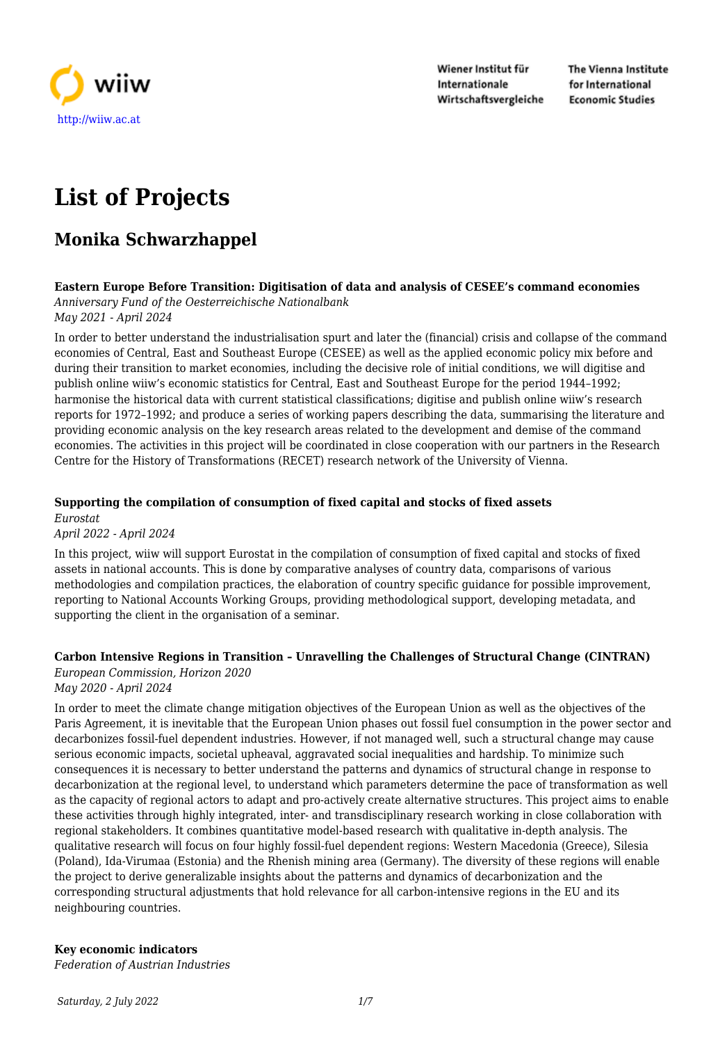

Wiener Institut für Internationale Wirtschaftsvergleiche The Vienna Institute for International **Economic Studies** 

# **List of Projects**

# **Monika Schwarzhappel**

# **Eastern Europe Before Transition: Digitisation of data and analysis of CESEE's command economies**

*Anniversary Fund of the Oesterreichische Nationalbank May 2021 - April 2024*

In order to better understand the industrialisation spurt and later the (financial) crisis and collapse of the command economies of Central, East and Southeast Europe (CESEE) as well as the applied economic policy mix before and during their transition to market economies, including the decisive role of initial conditions, we will digitise and publish online wiiw's economic statistics for Central, East and Southeast Europe for the period 1944–1992; harmonise the historical data with current statistical classifications; digitise and publish online wiiw's research reports for 1972–1992; and produce a series of working papers describing the data, summarising the literature and providing economic analysis on the key research areas related to the development and demise of the command economies. The activities in this project will be coordinated in close cooperation with our partners in the Research Centre for the History of Transformations (RECET) research network of the University of Vienna.

#### **Supporting the compilation of consumption of fixed capital and stocks of fixed assets** *Eurostat*

*April 2022 - April 2024*

In this project, wiiw will support Eurostat in the compilation of consumption of fixed capital and stocks of fixed assets in national accounts. This is done by comparative analyses of country data, comparisons of various methodologies and compilation practices, the elaboration of country specific guidance for possible improvement, reporting to National Accounts Working Groups, providing methodological support, developing metadata, and supporting the client in the organisation of a seminar.

# **Carbon Intensive Regions in Transition – Unravelling the Challenges of Structural Change (CINTRAN)**

*European Commission, Horizon 2020*

*May 2020 - April 2024*

In order to meet the climate change mitigation objectives of the European Union as well as the objectives of the Paris Agreement, it is inevitable that the European Union phases out fossil fuel consumption in the power sector and decarbonizes fossil-fuel dependent industries. However, if not managed well, such a structural change may cause serious economic impacts, societal upheaval, aggravated social inequalities and hardship. To minimize such consequences it is necessary to better understand the patterns and dynamics of structural change in response to decarbonization at the regional level, to understand which parameters determine the pace of transformation as well as the capacity of regional actors to adapt and pro-actively create alternative structures. This project aims to enable these activities through highly integrated, inter- and transdisciplinary research working in close collaboration with regional stakeholders. It combines quantitative model-based research with qualitative in-depth analysis. The qualitative research will focus on four highly fossil-fuel dependent regions: Western Macedonia (Greece), Silesia (Poland), Ida-Virumaa (Estonia) and the Rhenish mining area (Germany). The diversity of these regions will enable the project to derive generalizable insights about the patterns and dynamics of decarbonization and the corresponding structural adjustments that hold relevance for all carbon-intensive regions in the EU and its neighbouring countries.

# **Key economic indicators**

*Federation of Austrian Industries*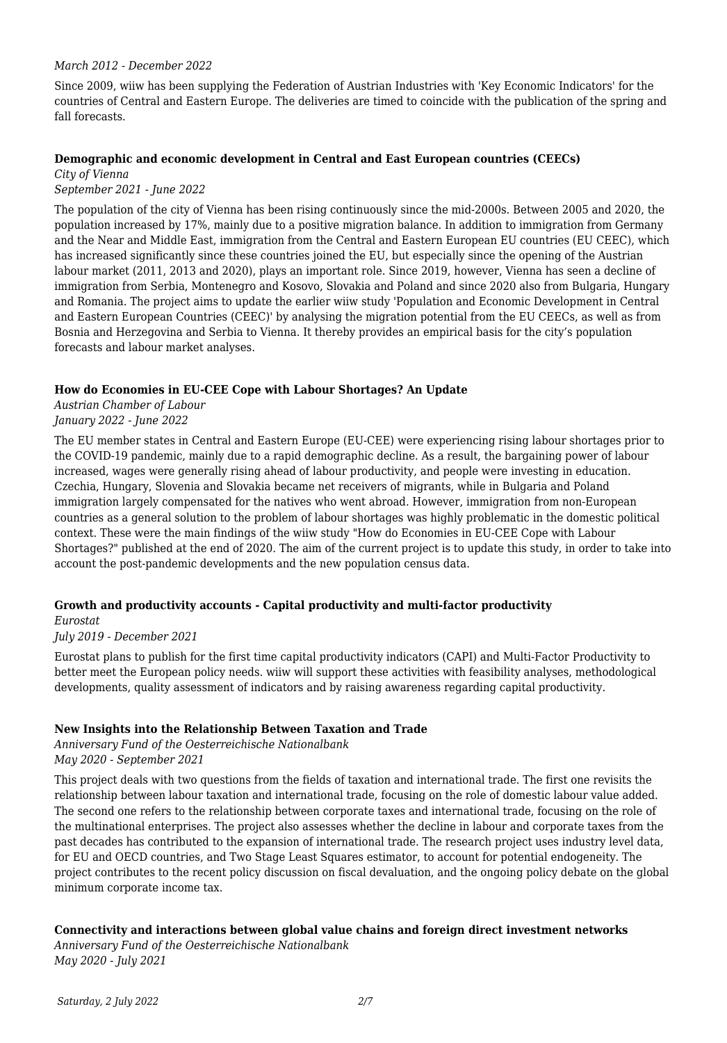#### *March 2012 - December 2022*

Since 2009, wiiw has been supplying the Federation of Austrian Industries with 'Key Economic Indicators' for the countries of Central and Eastern Europe. The deliveries are timed to coincide with the publication of the spring and fall forecasts.

#### **Demographic and economic development in Central and East European countries (CEECs)**

*City of Vienna September 2021 - June 2022*

The population of the city of Vienna has been rising continuously since the mid-2000s. Between 2005 and 2020, the population increased by 17%, mainly due to a positive migration balance. In addition to immigration from Germany and the Near and Middle East, immigration from the Central and Eastern European EU countries (EU CEEC), which has increased significantly since these countries joined the EU, but especially since the opening of the Austrian labour market (2011, 2013 and 2020), plays an important role. Since 2019, however, Vienna has seen a decline of immigration from Serbia, Montenegro and Kosovo, Slovakia and Poland and since 2020 also from Bulgaria, Hungary and Romania. The project aims to update the earlier wiiw study 'Population and Economic Development in Central and Eastern European Countries (CEEC)' by analysing the migration potential from the EU CEECs, as well as from Bosnia and Herzegovina and Serbia to Vienna. It thereby provides an empirical basis for the city's population forecasts and labour market analyses.

#### **How do Economies in EU-CEE Cope with Labour Shortages? An Update**

*Austrian Chamber of Labour January 2022 - June 2022*

The EU member states in Central and Eastern Europe (EU-CEE) were experiencing rising labour shortages prior to the COVID-19 pandemic, mainly due to a rapid demographic decline. As a result, the bargaining power of labour increased, wages were generally rising ahead of labour productivity, and people were investing in education. Czechia, Hungary, Slovenia and Slovakia became net receivers of migrants, while in Bulgaria and Poland immigration largely compensated for the natives who went abroad. However, immigration from non-European countries as a general solution to the problem of labour shortages was highly problematic in the domestic political context. These were the main findings of the wiiw study "How do Economies in EU-CEE Cope with Labour Shortages?" published at the end of 2020. The aim of the current project is to update this study, in order to take into account the post-pandemic developments and the new population census data.

# **Growth and productivity accounts - Capital productivity and multi-factor productivity**

#### *Eurostat*

#### *July 2019 - December 2021*

Eurostat plans to publish for the first time capital productivity indicators (CAPI) and Multi-Factor Productivity to better meet the European policy needs. wiiw will support these activities with feasibility analyses, methodological developments, quality assessment of indicators and by raising awareness regarding capital productivity.

#### **New Insights into the Relationship Between Taxation and Trade**

*Anniversary Fund of the Oesterreichische Nationalbank May 2020 - September 2021*

This project deals with two questions from the fields of taxation and international trade. The first one revisits the relationship between labour taxation and international trade, focusing on the role of domestic labour value added. The second one refers to the relationship between corporate taxes and international trade, focusing on the role of the multinational enterprises. The project also assesses whether the decline in labour and corporate taxes from the past decades has contributed to the expansion of international trade. The research project uses industry level data, for EU and OECD countries, and Two Stage Least Squares estimator, to account for potential endogeneity. The project contributes to the recent policy discussion on fiscal devaluation, and the ongoing policy debate on the global minimum corporate income tax.

#### **Connectivity and interactions between global value chains and foreign direct investment networks**

*Anniversary Fund of the Oesterreichische Nationalbank May 2020 - July 2021*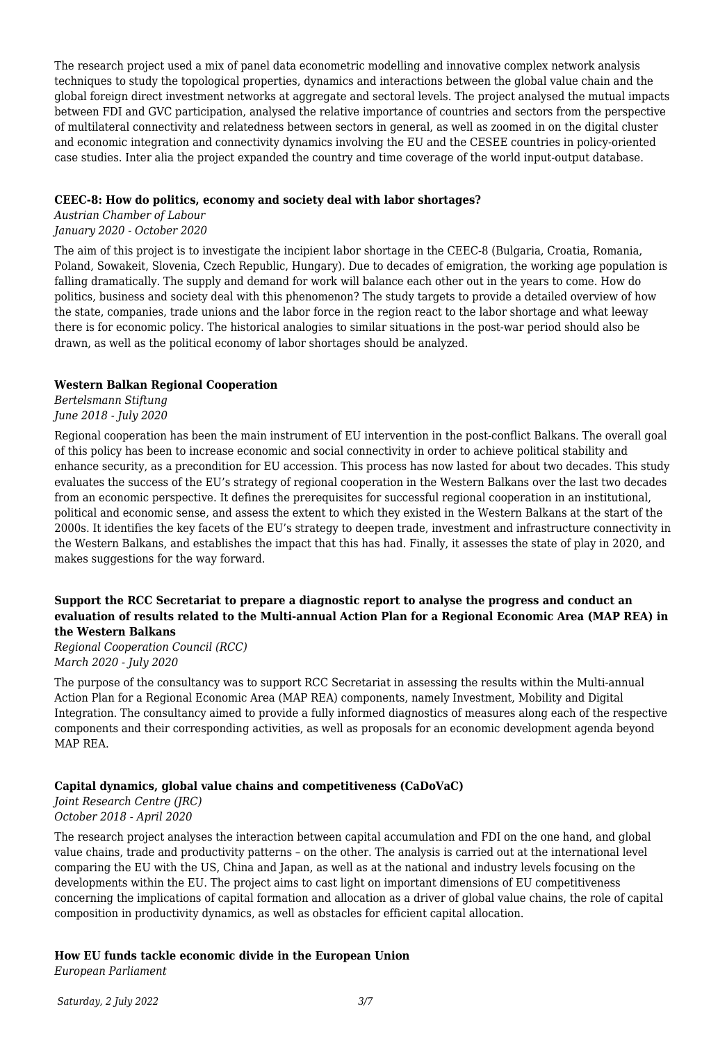The research project used a mix of panel data econometric modelling and innovative complex network analysis techniques to study the topological properties, dynamics and interactions between the global value chain and the global foreign direct investment networks at aggregate and sectoral levels. The project analysed the mutual impacts between FDI and GVC participation, analysed the relative importance of countries and sectors from the perspective of multilateral connectivity and relatedness between sectors in general, as well as zoomed in on the digital cluster and economic integration and connectivity dynamics involving the EU and the CESEE countries in policy-oriented case studies. Inter alia the project expanded the country and time coverage of the world input-output database.

#### **CEEC-8: How do politics, economy and society deal with labor shortages?**

*Austrian Chamber of Labour January 2020 - October 2020*

The aim of this project is to investigate the incipient labor shortage in the CEEC-8 (Bulgaria, Croatia, Romania, Poland, Sowakeit, Slovenia, Czech Republic, Hungary). Due to decades of emigration, the working age population is falling dramatically. The supply and demand for work will balance each other out in the years to come. How do politics, business and society deal with this phenomenon? The study targets to provide a detailed overview of how the state, companies, trade unions and the labor force in the region react to the labor shortage and what leeway there is for economic policy. The historical analogies to similar situations in the post-war period should also be drawn, as well as the political economy of labor shortages should be analyzed.

#### **Western Balkan Regional Cooperation**

*Bertelsmann Stiftung June 2018 - July 2020*

Regional cooperation has been the main instrument of EU intervention in the post-conflict Balkans. The overall goal of this policy has been to increase economic and social connectivity in order to achieve political stability and enhance security, as a precondition for EU accession. This process has now lasted for about two decades. This study evaluates the success of the EU's strategy of regional cooperation in the Western Balkans over the last two decades from an economic perspective. It defines the prerequisites for successful regional cooperation in an institutional, political and economic sense, and assess the extent to which they existed in the Western Balkans at the start of the 2000s. It identifies the key facets of the EU's strategy to deepen trade, investment and infrastructure connectivity in the Western Balkans, and establishes the impact that this has had. Finally, it assesses the state of play in 2020, and makes suggestions for the way forward.

#### **Support the RCC Secretariat to prepare a diagnostic report to analyse the progress and conduct an evaluation of results related to the Multi-annual Action Plan for a Regional Economic Area (MAP REA) in the Western Balkans**

*Regional Cooperation Council (RCC) March 2020 - July 2020*

The purpose of the consultancy was to support RCC Secretariat in assessing the results within the Multi-annual Action Plan for a Regional Economic Area (MAP REA) components, namely Investment, Mobility and Digital Integration. The consultancy aimed to provide a fully informed diagnostics of measures along each of the respective components and their corresponding activities, as well as proposals for an economic development agenda beyond MAP REA.

# **Capital dynamics, global value chains and competitiveness (CaDoVaC)**

*Joint Research Centre (JRC) October 2018 - April 2020*

The research project analyses the interaction between capital accumulation and FDI on the one hand, and global value chains, trade and productivity patterns – on the other. The analysis is carried out at the international level comparing the EU with the US, China and Japan, as well as at the national and industry levels focusing on the developments within the EU. The project aims to cast light on important dimensions of EU competitiveness concerning the implications of capital formation and allocation as a driver of global value chains, the role of capital composition in productivity dynamics, as well as obstacles for efficient capital allocation.

# **How EU funds tackle economic divide in the European Union**

*European Parliament*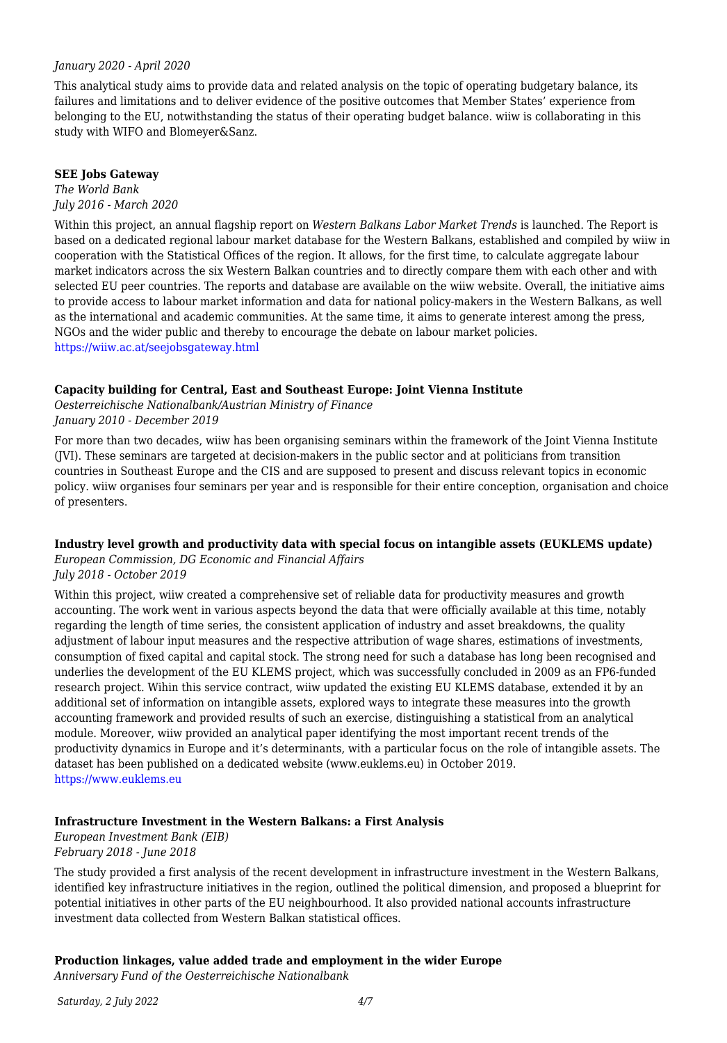#### *January 2020 - April 2020*

This analytical study aims to provide data and related analysis on the topic of operating budgetary balance, its failures and limitations and to deliver evidence of the positive outcomes that Member States' experience from belonging to the EU, notwithstanding the status of their operating budget balance. wiiw is collaborating in this study with WIFO and Blomeyer&Sanz.

#### **SEE Jobs Gateway**

#### *The World Bank July 2016 - March 2020*

Within this project, an annual flagship report on *Western Balkans Labor Market Trends* is launched. The Report is based on a dedicated regional labour market database for the Western Balkans, established and compiled by wiiw in cooperation with the Statistical Offices of the region. It allows, for the first time, to calculate aggregate labour market indicators across the six Western Balkan countries and to directly compare them with each other and with selected EU peer countries. The reports and database are available on the wiiw website. Overall, the initiative aims to provide access to labour market information and data for national policy-makers in the Western Balkans, as well as the international and academic communities. At the same time, it aims to generate interest among the press, NGOs and the wider public and thereby to encourage the debate on labour market policies. <https://wiiw.ac.at/seejobsgateway.html>

#### **Capacity building for Central, East and Southeast Europe: Joint Vienna Institute**

*Oesterreichische Nationalbank/Austrian Ministry of Finance January 2010 - December 2019*

For more than two decades, wiiw has been organising seminars within the framework of the Joint Vienna Institute (JVI). These seminars are targeted at decision-makers in the public sector and at politicians from transition countries in Southeast Europe and the CIS and are supposed to present and discuss relevant topics in economic policy. wiiw organises four seminars per year and is responsible for their entire conception, organisation and choice of presenters.

#### **Industry level growth and productivity data with special focus on intangible assets (EUKLEMS update)**

*European Commission, DG Economic and Financial Affairs*

*July 2018 - October 2019*

Within this project, wiiw created a comprehensive set of reliable data for productivity measures and growth accounting. The work went in various aspects beyond the data that were officially available at this time, notably regarding the length of time series, the consistent application of industry and asset breakdowns, the quality adjustment of labour input measures and the respective attribution of wage shares, estimations of investments, consumption of fixed capital and capital stock. The strong need for such a database has long been recognised and underlies the development of the EU KLEMS project, which was successfully concluded in 2009 as an FP6-funded research project. Wihin this service contract, wiiw updated the existing EU KLEMS database, extended it by an additional set of information on intangible assets, explored ways to integrate these measures into the growth accounting framework and provided results of such an exercise, distinguishing a statistical from an analytical module. Moreover, wiiw provided an analytical paper identifying the most important recent trends of the productivity dynamics in Europe and it's determinants, with a particular focus on the role of intangible assets. The dataset has been published on a dedicated website (www.euklems.eu) in October 2019. <https://www.euklems.eu>

#### **Infrastructure Investment in the Western Balkans: a First Analysis**

*European Investment Bank (EIB) February 2018 - June 2018*

The study provided a first analysis of the recent development in infrastructure investment in the Western Balkans, identified key infrastructure initiatives in the region, outlined the political dimension, and proposed a blueprint for potential initiatives in other parts of the EU neighbourhood. It also provided national accounts infrastructure investment data collected from Western Balkan statistical offices.

#### **Production linkages, value added trade and employment in the wider Europe**

*Anniversary Fund of the Oesterreichische Nationalbank*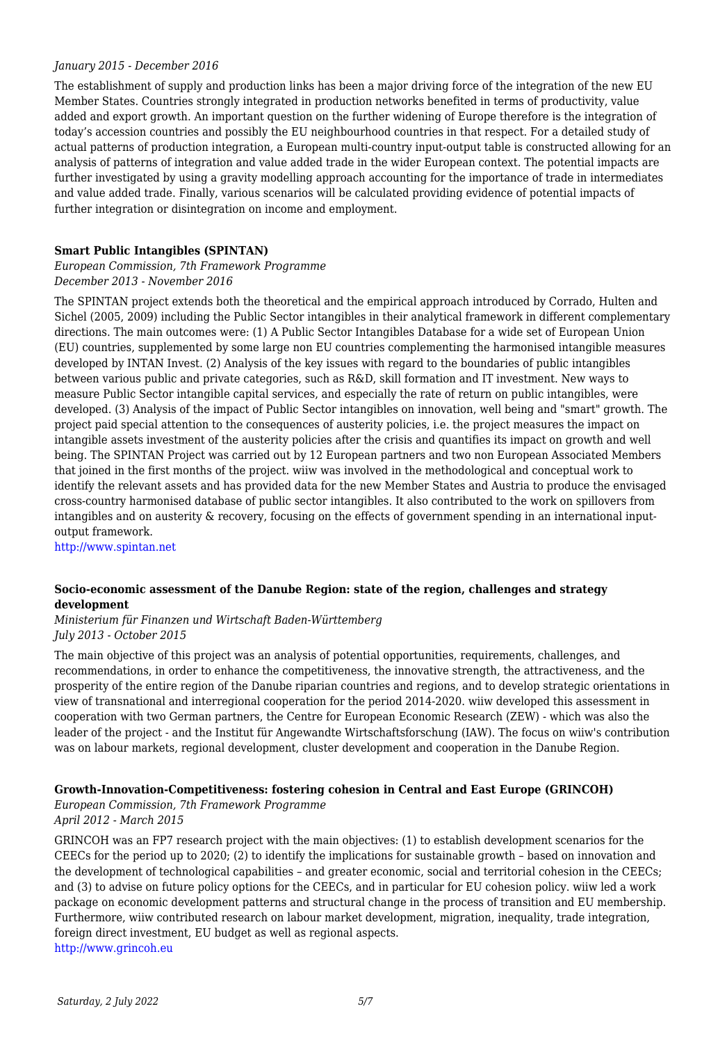#### *January 2015 - December 2016*

The establishment of supply and production links has been a major driving force of the integration of the new EU Member States. Countries strongly integrated in production networks benefited in terms of productivity, value added and export growth. An important question on the further widening of Europe therefore is the integration of today's accession countries and possibly the EU neighbourhood countries in that respect. For a detailed study of actual patterns of production integration, a European multi-country input-output table is constructed allowing for an analysis of patterns of integration and value added trade in the wider European context. The potential impacts are further investigated by using a gravity modelling approach accounting for the importance of trade in intermediates and value added trade. Finally, various scenarios will be calculated providing evidence of potential impacts of further integration or disintegration on income and employment.

#### **Smart Public Intangibles (SPINTAN)**

*European Commission, 7th Framework Programme December 2013 - November 2016*

The SPINTAN project extends both the theoretical and the empirical approach introduced by Corrado, Hulten and Sichel (2005, 2009) including the Public Sector intangibles in their analytical framework in different complementary directions. The main outcomes were: (1) A Public Sector Intangibles Database for a wide set of European Union (EU) countries, supplemented by some large non EU countries complementing the harmonised intangible measures developed by INTAN Invest. (2) Analysis of the key issues with regard to the boundaries of public intangibles between various public and private categories, such as R&D, skill formation and IT investment. New ways to measure Public Sector intangible capital services, and especially the rate of return on public intangibles, were developed. (3) Analysis of the impact of Public Sector intangibles on innovation, well being and "smart" growth. The project paid special attention to the consequences of austerity policies, i.e. the project measures the impact on intangible assets investment of the austerity policies after the crisis and quantifies its impact on growth and well being. The SPINTAN Project was carried out by 12 European partners and two non European Associated Members that joined in the first months of the project. wiiw was involved in the methodological and conceptual work to identify the relevant assets and has provided data for the new Member States and Austria to produce the envisaged cross-country harmonised database of public sector intangibles. It also contributed to the work on spillovers from intangibles and on austerity & recovery, focusing on the effects of government spending in an international inputoutput framework.

<http://www.spintan.net>

#### **Socio-economic assessment of the Danube Region: state of the region, challenges and strategy development**

#### *Ministerium für Finanzen und Wirtschaft Baden-Württemberg July 2013 - October 2015*

The main objective of this project was an analysis of potential opportunities, requirements, challenges, and recommendations, in order to enhance the competitiveness, the innovative strength, the attractiveness, and the prosperity of the entire region of the Danube riparian countries and regions, and to develop strategic orientations in view of transnational and interregional cooperation for the period 2014-2020. wiiw developed this assessment in cooperation with two German partners, the Centre for European Economic Research (ZEW) - which was also the leader of the project - and the Institut für Angewandte Wirtschaftsforschung (IAW). The focus on wiiw's contribution was on labour markets, regional development, cluster development and cooperation in the Danube Region.

# **Growth-Innovation-Competitiveness: fostering cohesion in Central and East Europe (GRINCOH)**

#### *European Commission, 7th Framework Programme April 2012 - March 2015*

GRINCOH was an FP7 research project with the main objectives: (1) to establish development scenarios for the CEECs for the period up to 2020; (2) to identify the implications for sustainable growth – based on innovation and the development of technological capabilities – and greater economic, social and territorial cohesion in the CEECs; and (3) to advise on future policy options for the CEECs, and in particular for EU cohesion policy. wiiw led a work package on economic development patterns and structural change in the process of transition and EU membership. Furthermore, wiiw contributed research on labour market development, migration, inequality, trade integration, foreign direct investment, EU budget as well as regional aspects. <http://www.grincoh.eu>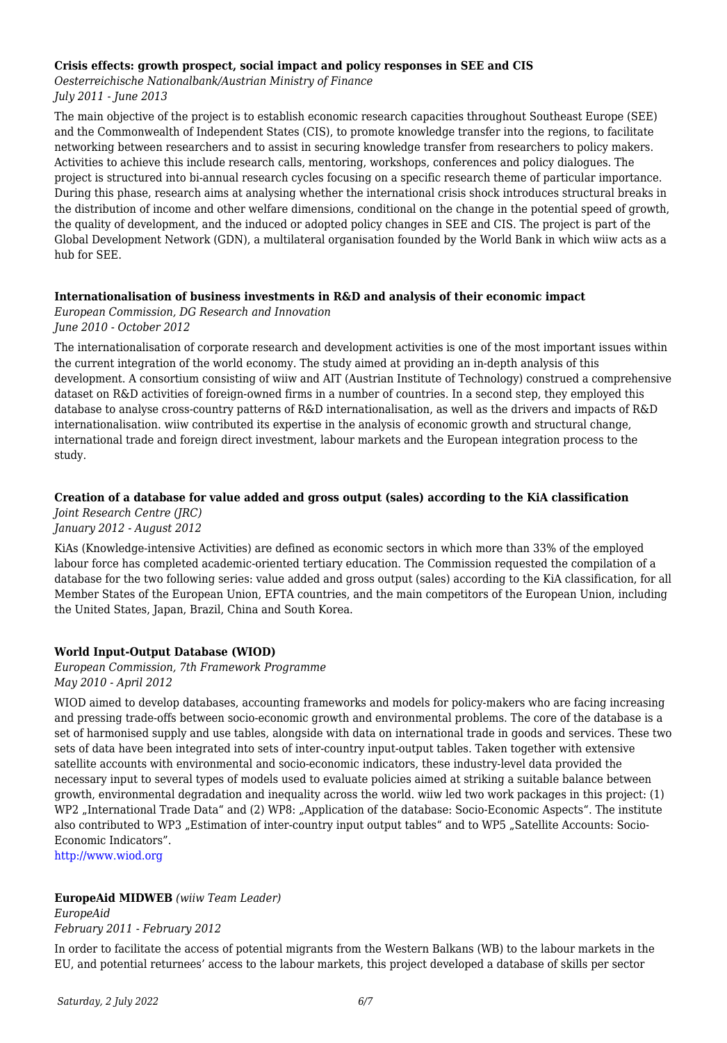#### **Crisis effects: growth prospect, social impact and policy responses in SEE and CIS**

*Oesterreichische Nationalbank/Austrian Ministry of Finance July 2011 - June 2013*

The main objective of the project is to establish economic research capacities throughout Southeast Europe (SEE) and the Commonwealth of Independent States (CIS), to promote knowledge transfer into the regions, to facilitate networking between researchers and to assist in securing knowledge transfer from researchers to policy makers. Activities to achieve this include research calls, mentoring, workshops, conferences and policy dialogues. The project is structured into bi-annual research cycles focusing on a specific research theme of particular importance. During this phase, research aims at analysing whether the international crisis shock introduces structural breaks in the distribution of income and other welfare dimensions, conditional on the change in the potential speed of growth, the quality of development, and the induced or adopted policy changes in SEE and CIS. The project is part of the Global Development Network (GDN), a multilateral organisation founded by the World Bank in which wiiw acts as a hub for SEE.

#### **Internationalisation of business investments in R&D and analysis of their economic impact**

*European Commission, DG Research and Innovation June 2010 - October 2012*

The internationalisation of corporate research and development activities is one of the most important issues within the current integration of the world economy. The study aimed at providing an in-depth analysis of this development. A consortium consisting of wiiw and AIT (Austrian Institute of Technology) construed a comprehensive dataset on R&D activities of foreign-owned firms in a number of countries. In a second step, they employed this database to analyse cross-country patterns of R&D internationalisation, as well as the drivers and impacts of R&D internationalisation. wiiw contributed its expertise in the analysis of economic growth and structural change, international trade and foreign direct investment, labour markets and the European integration process to the study.

#### **Creation of a database for value added and gross output (sales) according to the KiA classification**

*Joint Research Centre (JRC) January 2012 - August 2012*

KiAs (Knowledge-intensive Activities) are defined as economic sectors in which more than 33% of the employed labour force has completed academic-oriented tertiary education. The Commission requested the compilation of a database for the two following series: value added and gross output (sales) according to the KiA classification, for all Member States of the European Union, EFTA countries, and the main competitors of the European Union, including the United States, Japan, Brazil, China and South Korea.

# **World Input-Output Database (WIOD)**

*European Commission, 7th Framework Programme May 2010 - April 2012*

WIOD aimed to develop databases, accounting frameworks and models for policy-makers who are facing increasing and pressing trade-offs between socio-economic growth and environmental problems. The core of the database is a set of harmonised supply and use tables, alongside with data on international trade in goods and services. These two sets of data have been integrated into sets of inter-country input-output tables. Taken together with extensive satellite accounts with environmental and socio-economic indicators, these industry-level data provided the necessary input to several types of models used to evaluate policies aimed at striking a suitable balance between growth, environmental degradation and inequality across the world. wiiw led two work packages in this project: (1) WP2 "International Trade Data" and (2) WP8: "Application of the database: Socio-Economic Aspects". The institute also contributed to WP3 "Estimation of inter-country input output tables" and to WP5 "Satellite Accounts: Socio-Economic Indicators".

<http://www.wiod.org>

# **EuropeAid MIDWEB** *(wiiw Team Leader)*

*EuropeAid February 2011 - February 2012*

In order to facilitate the access of potential migrants from the Western Balkans (WB) to the labour markets in the EU, and potential returnees' access to the labour markets, this project developed a database of skills per sector